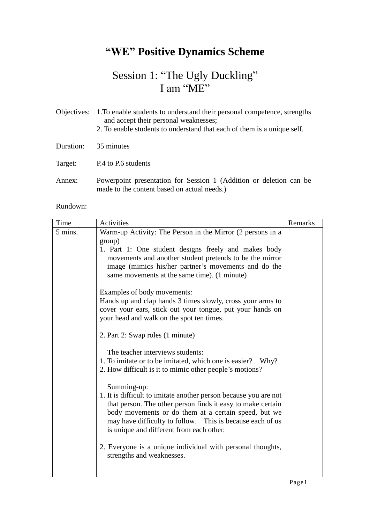# **"WE" Positive Dynamics Scheme**

## Session 1: "The Ugly Duckling" I am "ME"

|           | Objectives: 1. To enable students to understand their personal competence, strengths<br>and accept their personal weaknesses;<br>2. To enable students to understand that each of them is a unique self. |
|-----------|----------------------------------------------------------------------------------------------------------------------------------------------------------------------------------------------------------|
| Duration: | 35 minutes                                                                                                                                                                                               |
| Target:   | P.4 to P.6 students                                                                                                                                                                                      |
| Annex:    | Powerpoint presentation for Session 1 (Addition or deletion can be<br>made to the content based on actual needs.)                                                                                        |

Rundown:

| Time    | <b>Activities</b>                                                                                                                                                                                                                                                                                               | Remarks |
|---------|-----------------------------------------------------------------------------------------------------------------------------------------------------------------------------------------------------------------------------------------------------------------------------------------------------------------|---------|
| 5 mins. | Warm-up Activity: The Person in the Mirror (2 persons in a<br>group)                                                                                                                                                                                                                                            |         |
|         | 1. Part 1: One student designs freely and makes body<br>movements and another student pretends to be the mirror<br>image (mimics his/her partner's movements and do the<br>same movements at the same time). (1 minute)                                                                                         |         |
|         | Examples of body movements:                                                                                                                                                                                                                                                                                     |         |
|         | Hands up and clap hands 3 times slowly, cross your arms to<br>cover your ears, stick out your tongue, put your hands on<br>your head and walk on the spot ten times.                                                                                                                                            |         |
|         | 2. Part 2: Swap roles (1 minute)                                                                                                                                                                                                                                                                                |         |
|         | The teacher interviews students:<br>1. To imitate or to be imitated, which one is easier? Why?<br>2. How difficult is it to mimic other people's motions?                                                                                                                                                       |         |
|         | Summing-up:<br>1. It is difficult to imitate another person because you are not<br>that person. The other person finds it easy to make certain<br>body movements or do them at a certain speed, but we<br>may have difficulty to follow. This is because each of us<br>is unique and different from each other. |         |
|         | 2. Everyone is a unique individual with personal thoughts,<br>strengths and weaknesses.                                                                                                                                                                                                                         |         |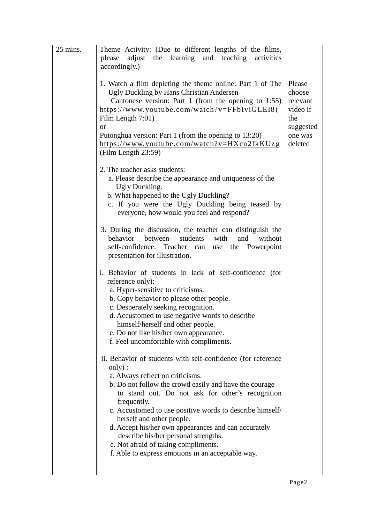| 25 mins. | Theme Activity: (Due to different lengths of the films,                                                                                                                                                                                                                                                                                                                                                                                                                                                                       |                                                                         |
|----------|-------------------------------------------------------------------------------------------------------------------------------------------------------------------------------------------------------------------------------------------------------------------------------------------------------------------------------------------------------------------------------------------------------------------------------------------------------------------------------------------------------------------------------|-------------------------------------------------------------------------|
|          | adjust the learning and teaching<br>please<br>activities                                                                                                                                                                                                                                                                                                                                                                                                                                                                      |                                                                         |
|          | accordingly.)                                                                                                                                                                                                                                                                                                                                                                                                                                                                                                                 |                                                                         |
|          | 1. Watch a film depicting the theme online: Part 1 of The<br>Ugly Duckling by Hans Christian Andersen<br>Cantonese version: Part 1 (from the opening to $1:55$ )<br>https://www.youtube.com/watch?v=FFbIviGLEI8(<br>Film Length 7:01)<br><sub>or</sub><br>Putonghua version: Part 1 (from the opening to 13:20)                                                                                                                                                                                                               | Please<br>choose<br>relevant<br>video if<br>the<br>suggested<br>one was |
|          | https://www.youtube.com/watch?v=HXcn2fkKUzg<br>(Film Length 23:59)                                                                                                                                                                                                                                                                                                                                                                                                                                                            | deleted                                                                 |
|          | 2. The teacher asks students:<br>a. Please describe the appearance and uniqueness of the<br>Ugly Duckling.<br>b. What happened to the Ugly Duckling?<br>c. If you were the Ugly Duckling being teased by<br>everyone, how would you feel and respond?                                                                                                                                                                                                                                                                         |                                                                         |
|          | 3. During the discussion, the teacher can distinguish the<br>without<br>behavior<br>students<br>with<br>between<br>and<br>self-confidence. Teacher can<br>use the Powerpoint<br>presentation for illustration.                                                                                                                                                                                                                                                                                                                |                                                                         |
|          | i. Behavior of students in lack of self-confidence (for<br>reference only):<br>a. Hyper-sensitive to criticisms.<br>b. Copy behavior to please other people.<br>c. Desperately seeking recognition.<br>d. Accustomed to use negative words to describe<br>himself/herself and other people.<br>e. Do not like his/her own appearance.<br>f. Feel uncomfortable with compliments.                                                                                                                                              |                                                                         |
|          | ii. Behavior of students with self-confidence (for reference<br>only):<br>a. Always reflect on criticisms.<br>b. Do not follow the crowd easily and have the courage<br>to stand out. Do not ask for other's recognition<br>frequently.<br>c. Accustomed to use positive words to describe himself/<br>herself and other people.<br>d. Accept his/her own appearances and can accurately<br>describe his/her personal strengths.<br>e. Not afraid of taking compliments.<br>f. Able to express emotions in an acceptable way. |                                                                         |
|          |                                                                                                                                                                                                                                                                                                                                                                                                                                                                                                                               |                                                                         |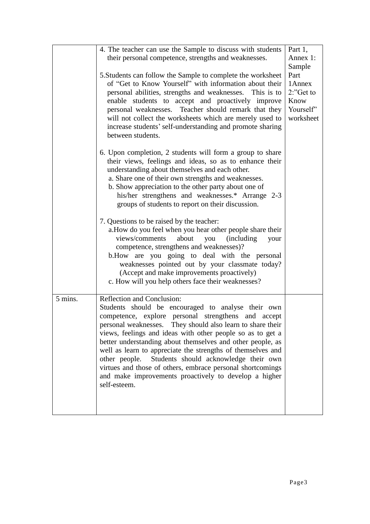|         | 4. The teacher can use the Sample to discuss with students                                                                                                                                                                                                                                                                                                                                                                                                                                                                                                                                        | Part 1,         |
|---------|---------------------------------------------------------------------------------------------------------------------------------------------------------------------------------------------------------------------------------------------------------------------------------------------------------------------------------------------------------------------------------------------------------------------------------------------------------------------------------------------------------------------------------------------------------------------------------------------------|-----------------|
|         | their personal competence, strengths and weaknesses.                                                                                                                                                                                                                                                                                                                                                                                                                                                                                                                                              | Annex 1:        |
|         |                                                                                                                                                                                                                                                                                                                                                                                                                                                                                                                                                                                                   | Sample          |
|         | 5. Students can follow the Sample to complete the worksheet<br>of "Get to Know Yourself" with information about their                                                                                                                                                                                                                                                                                                                                                                                                                                                                             | Part<br>1 Annex |
|         | personal abilities, strengths and weaknesses. This is to                                                                                                                                                                                                                                                                                                                                                                                                                                                                                                                                          | 2:"Get to       |
|         | enable students to accept and proactively improve                                                                                                                                                                                                                                                                                                                                                                                                                                                                                                                                                 | Know            |
|         | personal weaknesses. Teacher should remark that they                                                                                                                                                                                                                                                                                                                                                                                                                                                                                                                                              | Yourself'       |
|         | will not collect the worksheets which are merely used to                                                                                                                                                                                                                                                                                                                                                                                                                                                                                                                                          | worksheet       |
|         | increase students' self-understanding and promote sharing                                                                                                                                                                                                                                                                                                                                                                                                                                                                                                                                         |                 |
|         | between students.                                                                                                                                                                                                                                                                                                                                                                                                                                                                                                                                                                                 |                 |
|         | 6. Upon completion, 2 students will form a group to share<br>their views, feelings and ideas, so as to enhance their<br>understanding about themselves and each other.<br>a. Share one of their own strengths and weaknesses.<br>b. Show appreciation to the other party about one of<br>his/her strengthens and weaknesses.* Arrange 2-3<br>groups of students to report on their discussion.                                                                                                                                                                                                    |                 |
|         | 7. Questions to be raised by the teacher:<br>a. How do you feel when you hear other people share their<br>views/comments<br>about<br>(including)<br>you<br>your<br>competence, strengthens and weaknesses)?<br>b. How are you going to deal with the personal<br>weaknesses pointed out by your classmate today?<br>(Accept and make improvements proactively)<br>c. How will you help others face their weaknesses?                                                                                                                                                                              |                 |
| 5 mins. | Reflection and Conclusion:<br>Students should be encouraged to analyse their own<br>competence, explore personal strengthens and accept<br>personal weaknesses. They should also learn to share their<br>views, feelings and ideas with other people so as to get a<br>better understanding about themselves and other people, as<br>well as learn to appreciate the strengths of themselves and<br>other people.<br>Students should acknowledge their own<br>virtues and those of others, embrace personal shortcomings<br>and make improvements proactively to develop a higher<br>self-esteem. |                 |
|         |                                                                                                                                                                                                                                                                                                                                                                                                                                                                                                                                                                                                   |                 |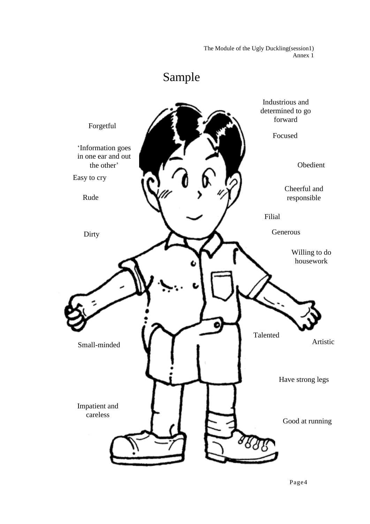The Module of the Ugly Duckling(session1) Annex 1

## Sample

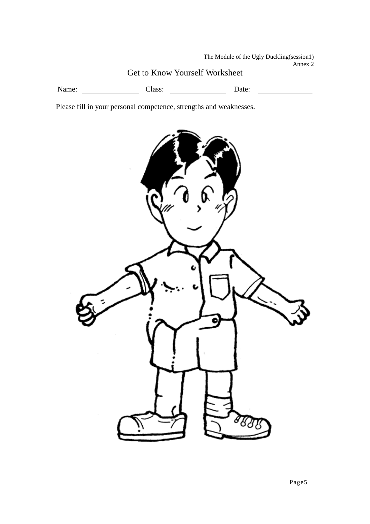The Module of the Ugly Duckling(session1) Annex 2

#### Get to Know Yourself Worksheet

Name: Class: Class: Date:

Please fill in your personal competence, strengths and weaknesses.

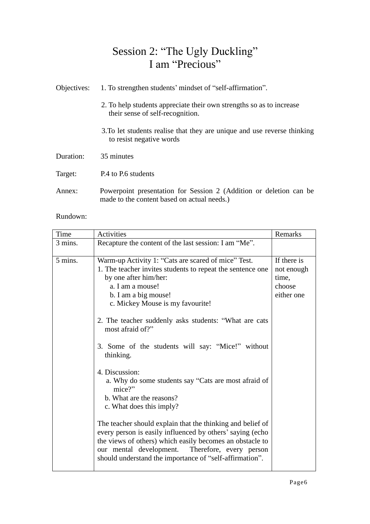#### Session 2: "The Ugly Duckling" I am "Precious"

| Objectives: | 1. To strengthen students' mindset of "self-affirmation".                                                         |
|-------------|-------------------------------------------------------------------------------------------------------------------|
|             | 2. To help students appreciate their own strengths so as to increase<br>their sense of self-recognition.          |
|             | 3. To let students realise that they are unique and use reverse thinking<br>to resist negative words              |
| Duration:   | 35 minutes                                                                                                        |
| Target:     | P.4 to P.6 students                                                                                               |
| Annex:      | Powerpoint presentation for Session 2 (Addition or deletion can be<br>made to the content based on actual needs.) |

Rundown:

| Time    | Activities                                                                                                                                                                                                                                                                                                                                                                                                                                                                                                                                                                                                                                                                                                                                                                                                                 | Remarks                                                    |
|---------|----------------------------------------------------------------------------------------------------------------------------------------------------------------------------------------------------------------------------------------------------------------------------------------------------------------------------------------------------------------------------------------------------------------------------------------------------------------------------------------------------------------------------------------------------------------------------------------------------------------------------------------------------------------------------------------------------------------------------------------------------------------------------------------------------------------------------|------------------------------------------------------------|
| 3 mins. | Recapture the content of the last session: I am "Me".                                                                                                                                                                                                                                                                                                                                                                                                                                                                                                                                                                                                                                                                                                                                                                      |                                                            |
| 5 mins. | Warm-up Activity 1: "Cats are scared of mice" Test.<br>1. The teacher invites students to repeat the sentence one<br>by one after him/her:<br>a. I am a mouse!<br>b. I am a big mouse!<br>c. Mickey Mouse is my favourite!<br>2. The teacher suddenly asks students: "What are cats<br>most afraid of?"<br>3. Some of the students will say: "Mice!" without<br>thinking.<br>4. Discussion:<br>a. Why do some students say "Cats are most afraid of<br>mice?"<br>b. What are the reasons?<br>c. What does this imply?<br>The teacher should explain that the thinking and belief of<br>every person is easily influenced by others' saying (echo<br>the views of others) which easily becomes an obstacle to<br>our mental development. Therefore, every person<br>should understand the importance of "self-affirmation". | If there is<br>not enough<br>time,<br>choose<br>either one |
|         |                                                                                                                                                                                                                                                                                                                                                                                                                                                                                                                                                                                                                                                                                                                                                                                                                            |                                                            |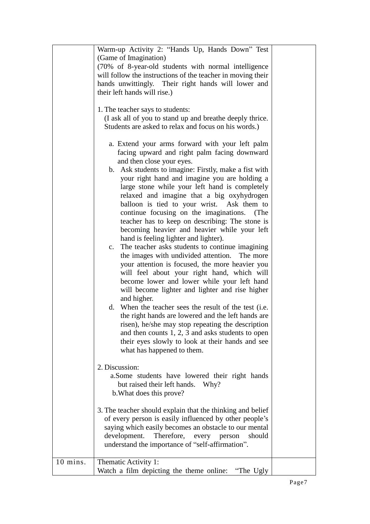|          | Warm-up Activity 2: "Hands Up, Hands Down" Test<br>(Game of Imagination)                                 |  |
|----------|----------------------------------------------------------------------------------------------------------|--|
|          | (70% of 8-year-old students with normal intelligence                                                     |  |
|          | will follow the instructions of the teacher in moving their                                              |  |
|          | hands unwittingly. Their right hands will lower and                                                      |  |
|          | their left hands will rise.)                                                                             |  |
|          |                                                                                                          |  |
|          | 1. The teacher says to students:                                                                         |  |
|          | (I ask all of you to stand up and breathe deeply thrice.                                                 |  |
|          | Students are asked to relax and focus on his words.)                                                     |  |
|          |                                                                                                          |  |
|          | a. Extend your arms forward with your left palm                                                          |  |
|          | facing upward and right palm facing downward                                                             |  |
|          | and then close your eyes.                                                                                |  |
|          | b. Ask students to imagine: Firstly, make a fist with                                                    |  |
|          | your right hand and imagine you are holding a                                                            |  |
|          | large stone while your left hand is completely                                                           |  |
|          | relaxed and imagine that a big oxyhydrogen                                                               |  |
|          | balloon is tied to your wrist. Ask them to                                                               |  |
|          | continue focusing on the imaginations. (The                                                              |  |
|          | teacher has to keep on describing: The stone is                                                          |  |
|          | becoming heavier and heavier while your left                                                             |  |
|          | hand is feeling lighter and lighter).                                                                    |  |
|          | c. The teacher asks students to continue imagining                                                       |  |
|          | the images with undivided attention. The more                                                            |  |
|          | your attention is focused, the more heavier you                                                          |  |
|          | will feel about your right hand, which will                                                              |  |
|          | become lower and lower while your left hand                                                              |  |
|          | will become lighter and lighter and rise higher                                                          |  |
|          | and higher.                                                                                              |  |
|          | d. When the teacher sees the result of the test (i.e.                                                    |  |
|          | the right hands are lowered and the left hands are                                                       |  |
|          | risen), he/she may stop repeating the description<br>and then counts $1, 2, 3$ and asks students to open |  |
|          | their eyes slowly to look at their hands and see                                                         |  |
|          | what has happened to them.                                                                               |  |
|          |                                                                                                          |  |
|          | 2. Discussion:                                                                                           |  |
|          | a. Some students have lowered their right hands                                                          |  |
|          | but raised their left hands.<br>Why?                                                                     |  |
|          | b. What does this prove?                                                                                 |  |
|          |                                                                                                          |  |
|          | 3. The teacher should explain that the thinking and belief                                               |  |
|          | of every person is easily influenced by other people's                                                   |  |
|          | saying which easily becomes an obstacle to our mental                                                    |  |
|          | development.<br>Therefore,<br>should<br>every<br>person                                                  |  |
|          | understand the importance of "self-affirmation".                                                         |  |
|          |                                                                                                          |  |
| 10 mins. | Thematic Activity 1:                                                                                     |  |
|          | Watch a film depicting the theme online:<br>"The Ugly                                                    |  |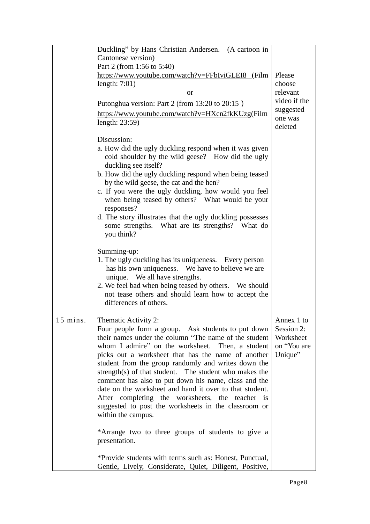|          | Duckling" by Hans Christian Andersen. (A cartoon in                           |              |
|----------|-------------------------------------------------------------------------------|--------------|
|          | Cantonese version)                                                            |              |
|          | Part 2 (from 1:56 to 5:40)                                                    |              |
|          | https://www.youtube.com/watch?v=FFbIviGLEI8 (Film                             | Please       |
|          | length: $7:01$ )                                                              | choose       |
|          | <b>or</b>                                                                     | relevant     |
|          |                                                                               | video if the |
|          | Putonghua version: Part 2 (from 13:20 to 20:15)                               | suggested    |
|          | https://www.youtube.com/watch?v=HXcn2fkKUzg(Film                              | one was      |
|          | length: $23:59$ )                                                             | deleted      |
|          |                                                                               |              |
|          | Discussion:                                                                   |              |
|          | a. How did the ugly duckling respond when it was given                        |              |
|          | cold shoulder by the wild geese? How did the ugly                             |              |
|          | duckling see itself?                                                          |              |
|          | b. How did the ugly duckling respond when being teased                        |              |
|          | by the wild geese, the cat and the hen?                                       |              |
|          | c. If you were the ugly duckling, how would you feel                          |              |
|          | when being teased by others? What would be your                               |              |
|          | responses?                                                                    |              |
|          | d. The story illustrates that the ugly duckling possesses                     |              |
|          | some strengths. What are its strengths? What do                               |              |
|          | you think?                                                                    |              |
|          |                                                                               |              |
|          | Summing-up:                                                                   |              |
|          | 1. The ugly duckling has its uniqueness. Every person                         |              |
|          | has his own uniqueness. We have to believe we are                             |              |
|          | unique. We all have strengths.                                                |              |
|          | 2. We feel bad when being teased by others. We should                         |              |
|          | not tease others and should learn how to accept the<br>differences of others. |              |
|          |                                                                               |              |
| 15 mins. | Thematic Activity 2:                                                          | Annex 1 to   |
|          | Four people form a group. Ask students to put down                            | Session 2:   |
|          | their names under the column "The name of the student                         | Worksheet    |
|          | whom I admire" on the worksheet. Then, a student                              | on "You are  |
|          | picks out a worksheet that has the name of another                            | Unique"      |
|          | student from the group randomly and writes down the                           |              |
|          | strength(s) of that student. The student who makes the                        |              |
|          | comment has also to put down his name, class and the                          |              |
|          | date on the worksheet and hand it over to that student.                       |              |
|          | After completing the worksheets, the teacher is                               |              |
|          | suggested to post the worksheets in the classroom or                          |              |
|          | within the campus.                                                            |              |
|          |                                                                               |              |
|          | *Arrange two to three groups of students to give a                            |              |
|          | presentation.                                                                 |              |
|          |                                                                               |              |
|          | *Provide students with terms such as: Honest, Punctual,                       |              |
|          | Gentle, Lively, Considerate, Quiet, Diligent, Positive,                       |              |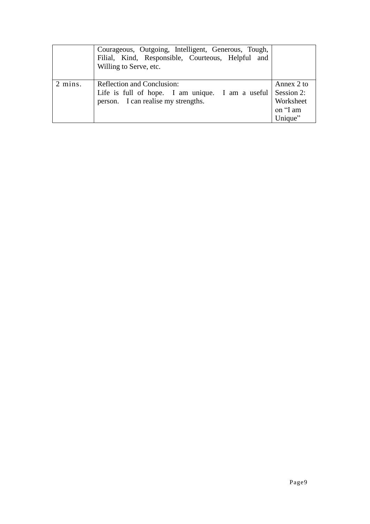|         | Courageous, Outgoing, Intelligent, Generous, Tough,<br>Filial, Kind, Responsible, Courteous, Helpful and<br>Willing to Serve, etc.              |                         |
|---------|-------------------------------------------------------------------------------------------------------------------------------------------------|-------------------------|
| 2 mins. | <b>Reflection and Conclusion:</b><br>Life is full of hope. I am unique. I am a useful $\vert$ Session 2:<br>person. I can realise my strengths. | Annex 2 to<br>Worksheet |
|         |                                                                                                                                                 | on "I am<br>Unique"     |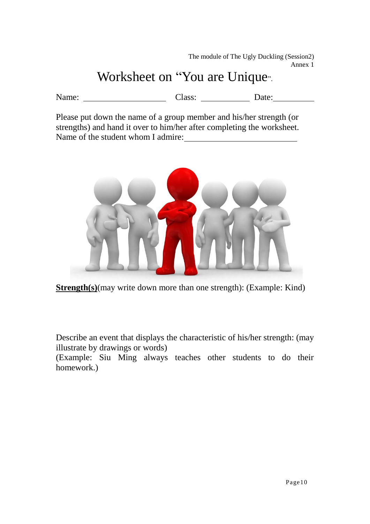The module of The Ugly Duckling (Session2) Annex 1

## Worksheet on "You are Unique<sub>"</sub>.

Name: Class: Class: Date:

Please put down the name of a group member and his/her strength (or strengths) and hand it over to him/her after completing the worksheet. Name of the student whom I admire:



**Strength(s)**(may write down more than one strength): (Example: Kind)

Describe an event that displays the characteristic of his/her strength: (may illustrate by drawings or words)

(Example: Siu Ming always teaches other students to do their homework.)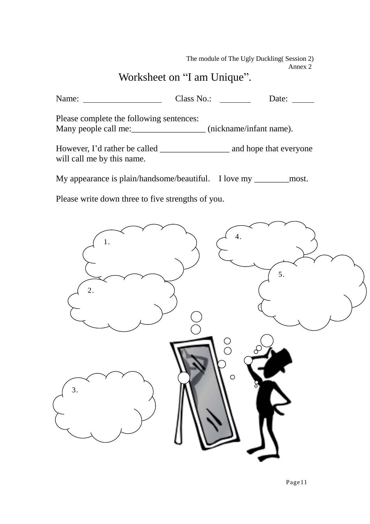The module of The Ugly Duckling( Session 2) Annex 2

#### Worksheet on "I am Unique".

Name: Class No.: Class No.: Date: Please complete the following sentences: Many people call me: \_\_\_\_\_\_\_\_\_\_\_\_\_\_\_\_\_\_\_\_ (nickname/infant name). However, I'd rather be called \_\_\_\_\_\_\_\_\_\_\_\_\_\_\_\_ and hope that everyone will call me by this name.

My appearance is plain/handsome/beautiful. I love my \_\_\_\_\_\_\_\_most.

Please write down three to five strengths of you.

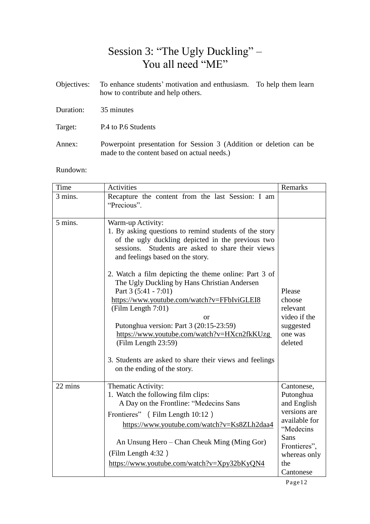#### Session 3: "The Ugly Duckling" – You all need "ME"

|           | Objectives: To enhance students' motivation and enthusiasm. To help them learn<br>how to contribute and help others. |  |
|-----------|----------------------------------------------------------------------------------------------------------------------|--|
| Duration: | 35 minutes                                                                                                           |  |
| Target:   | P.4 to P.6 Students                                                                                                  |  |
| Annex:    | Powerpoint presentation for Session 3 (Addition or deletion can be                                                   |  |

made to the content based on actual needs.)

Rundown:

| Time    | <b>Activities</b>                                                                                                                                                                                                                                                                     | Remarks                                                                              |
|---------|---------------------------------------------------------------------------------------------------------------------------------------------------------------------------------------------------------------------------------------------------------------------------------------|--------------------------------------------------------------------------------------|
| 3 mins. | Recapture the content from the last Session: I am<br>"Precious".                                                                                                                                                                                                                      |                                                                                      |
| 5 mins. | Warm-up Activity:<br>1. By asking questions to remind students of the story<br>of the ugly duckling depicted in the previous two<br>Students are asked to share their views<br>sessions.<br>and feelings based on the story.<br>2. Watch a film depicting the theme online: Part 3 of |                                                                                      |
|         | The Ugly Duckling by Hans Christian Andersen<br>Part 3 (5:41 - 7:01)<br>https://www.youtube.com/watch?v=FFbIviGLEI8<br>(Film Length 7:01)<br>or<br>Putonghua version: Part 3 (20:15-23:59)<br>https://www.youtube.com/watch?v=HXcn2fkKUzg<br>(Film Length 23:59)                      | Please<br>choose<br>relevant<br>video if the<br>suggested<br>one was<br>deleted      |
|         | 3. Students are asked to share their views and feelings<br>on the ending of the story.                                                                                                                                                                                                |                                                                                      |
| 22 mins | Thematic Activity:<br>1. Watch the following film clips:<br>A Day on the Frontline: "Medecins Sans<br>Frontieres" (Film Length 10:12)<br>https://www.youtube.com/watch?v=Ks8ZLh2daa4                                                                                                  | Cantonese,<br>Putonghua<br>and English<br>versions are<br>available for<br>"Medecins |
|         | An Unsung Hero – Chan Cheuk Ming (Ming Gor)<br>(Film Length 4:32)<br>https://www.youtube.com/watch?v=Xpy32bKyQN4                                                                                                                                                                      | Sans<br>Frontieres",<br>whereas only<br>the<br>Cantonese                             |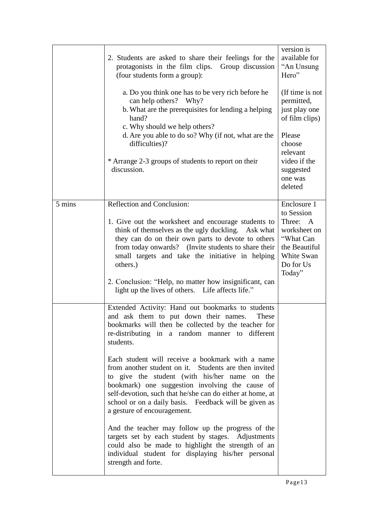|        | 2. Students are asked to share their feelings for the<br>protagonists in the film clips. Group discussion<br>(four students form a group):                                                                                                                                                                                                                         | version is<br>available for<br>"An Unsung<br>Hero"                                                                                                  |
|--------|--------------------------------------------------------------------------------------------------------------------------------------------------------------------------------------------------------------------------------------------------------------------------------------------------------------------------------------------------------------------|-----------------------------------------------------------------------------------------------------------------------------------------------------|
|        | a. Do you think one has to be very rich before he<br>can help others? Why?<br>b. What are the prerequisites for lending a helping<br>hand?<br>c. Why should we help others?<br>d. Are you able to do so? Why (if not, what are the<br>difficulties)?<br>* Arrange 2-3 groups of students to report on their<br>discussion.                                         | (If time is not<br>permitted,<br>just play one<br>of film clips)<br>Please<br>choose<br>relevant<br>video if the<br>suggested<br>one was<br>deleted |
| 5 mins | <b>Reflection and Conclusion:</b>                                                                                                                                                                                                                                                                                                                                  | Enclosure 1                                                                                                                                         |
|        | 1. Give out the worksheet and encourage students to<br>think of themselves as the ugly duckling. Ask what<br>they can do on their own parts to devote to others<br>from today onwards? (Invite students to share their<br>small targets and take the initiative in helping<br>others.)                                                                             | to Session<br>Three: A<br>worksheet on<br>"What Can<br>the Beautiful<br>White Swan<br>Do for Us<br>Today"                                           |
|        | 2. Conclusion: "Help, no matter how insignificant, can<br>light up the lives of others. Life affects life."                                                                                                                                                                                                                                                        |                                                                                                                                                     |
|        | Extended Activity: Hand out bookmarks to students<br>and ask them to put down their names.<br>These<br>bookmarks will then be collected by the teacher for<br>re-distributing in a random manner to different<br>students.                                                                                                                                         |                                                                                                                                                     |
|        | Each student will receive a bookmark with a name<br>from another student on it. Students are then invited<br>to give the student (with his/her name on the<br>bookmark) one suggestion involving the cause of<br>self-devotion, such that he/she can do either at home, at<br>school or on a daily basis. Feedback will be given as<br>a gesture of encouragement. |                                                                                                                                                     |
|        | And the teacher may follow up the progress of the<br>targets set by each student by stages. Adjustments<br>could also be made to highlight the strength of an<br>individual student for displaying his/her personal<br>strength and forte.                                                                                                                         |                                                                                                                                                     |